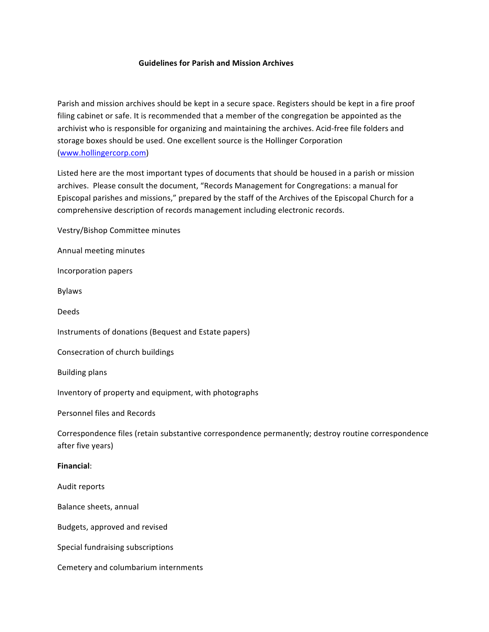## **Guidelines for Parish and Mission Archives**

Parish and mission archives should be kept in a secure space. Registers should be kept in a fire proof filing cabinet or safe. It is recommended that a member of the congregation be appointed as the archivist who is responsible for organizing and maintaining the archives. Acid-free file folders and storage boxes should be used. One excellent source is the Hollinger Corporation (www.hollingercorp.com) 

Listed here are the most important types of documents that should be housed in a parish or mission archives. Please consult the document, "Records Management for Congregations: a manual for Episcopal parishes and missions," prepared by the staff of the Archives of the Episcopal Church for a comprehensive description of records management including electronic records.

Vestry/Bishop Committee minutes

Annual meeting minutes

Incorporation papers

Bylaws

Deeds

Instruments of donations (Bequest and Estate papers)

Consecration of church buildings

**Building plans** 

Inventory of property and equipment, with photographs

Personnel files and Records

Correspondence files (retain substantive correspondence permanently; destroy routine correspondence after five years)

## **Financial**:

Audit reports

Balance sheets, annual

Budgets, approved and revised

Special fundraising subscriptions

Cemetery and columbarium internments